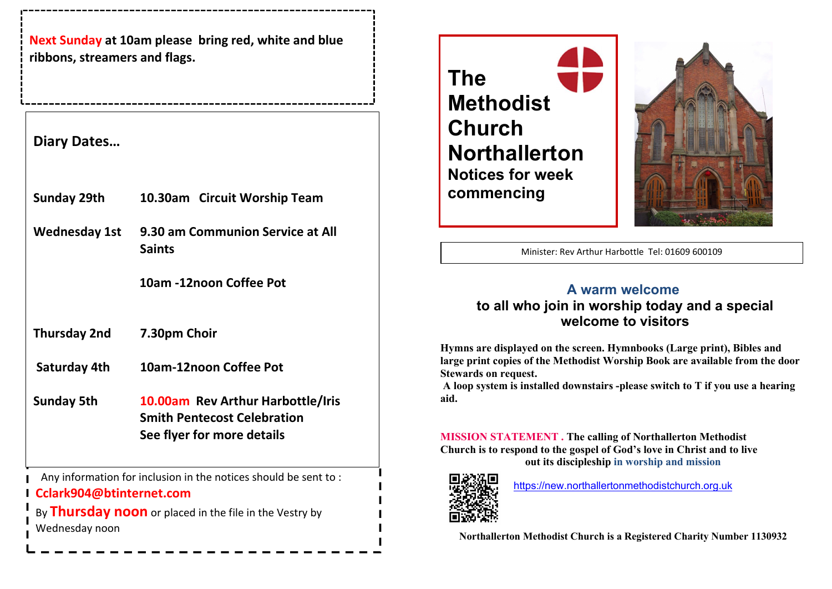Next Sunday at 10am please bring red, white and blue Luke 10 vJohnsaiah ribbons, streamers and flags.

## Diary Dates…

- Sunday 29th 10.30am Circuit Worship Team
- Wednesday 1st 9.30 am Communion Service at All Saints

10am -12noon Coffee Pot

Thursday 2nd 7.30pm Choir

Saturday 4th 10am-12noon Coffee Pot

Sunday 5th 10.00am Rev Arthur Harbottle/Iris Smith Pentecost Celebration See flyer for more details

Any information for inclusion in the notices should be sent to :

# Cclark904@btinternet.com

By Thursday noon or placed in the file in the Vestry by Wednesday noon



20th May 2022 - 2022 - 2022 - 2022 - 2022 - 2022 - 2022 - 2022 - 2022 - 2022 - 2022 - 2022 - 2022 - 2022 - 20<br>2022 - 2022 - 2022 - 2022 - 2022 - 2022 - 2022 - 2022 - 2022 - 2022 - 2022 - 2022 - 2022 - 2022 - 2022 - 2022<br>20



Minister: Rev Arthur Harbottle Tel: 01609 600109

I

I

## A warm welcome to all who join in worship today and a special welcome to visitors

Hymns are displayed on the screen. Hymnbooks (Large print), Bibles and large print copies of the Methodist Worship Book are available from the door Stewards on request.

 A loop system is installed downstairs -please switch to T if you use a hearing aid.

MISSION STATEMENT . The calling of Northallerton Methodist Church is to respond to the gospel of God's love in Christ and to live out its discipleship in worship and mission



https://new.northallertonmethodistchurch.org.uk

Northallerton Methodist Church is a Registered Charity Number 1130932